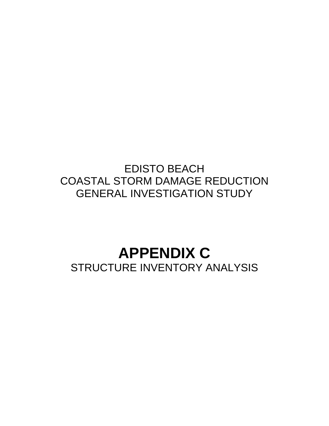# EDISTO BEACH COASTAL STORM DAMAGE REDUCTION GENERAL INVESTIGATION STUDY

# **APPENDIX C** STRUCTURE INVENTORY ANALYSIS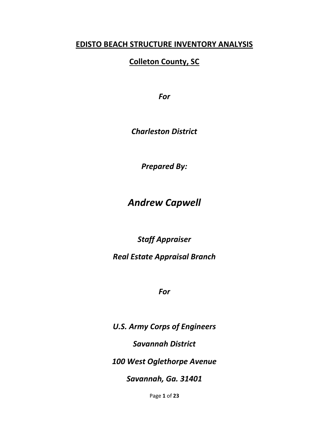# **EDISTO BEACH STRUCTURE INVENTORY ANALYSIS**

# **Colleton County, SC**

*For*

*Charleston District*

*Prepared By:*

# *Andrew Capwell*

*Staff Appraiser*

# *Real Estate Appraisal Branch*

*For*

*U.S. Army Corps of Engineers Savannah District 100 West Oglethorpe Avenue Savannah, Ga. 31401*

Page **1** of **23**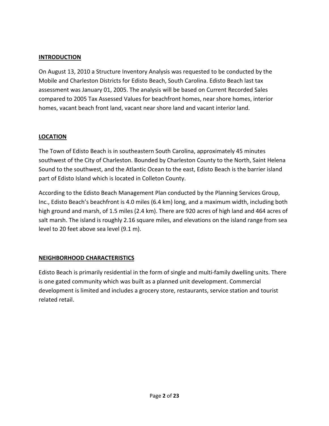#### **INTRODUCTION**

On August 13, 2010 a Structure Inventory Analysis was requested to be conducted by the Mobile and Charleston Districts for Edisto Beach, South Carolina. Edisto Beach last tax assessment was January 01, 2005. The analysis will be based on Current Recorded Sales compared to 2005 Tax Assessed Values for beachfront homes, near shore homes, interior homes, vacant beach front land, vacant near shore land and vacant interior land.

#### **LOCATION**

The Town of Edisto Beach is in southeastern South Carolina, approximately 45 minutes southwest of the City of Charleston. Bounded by Charleston County to the North, Saint Helena Sound to the southwest, and the Atlantic Ocean to the east, Edisto Beach is the barrier island part of Edisto Island which is located in Colleton County.

According to the Edisto Beach Management Plan conducted by the Planning Services Group, Inc., Edisto Beach's beachfront is 4.0 miles (6.4 km) long, and a maximum width, including both high ground and marsh, of 1.5 miles (2.4 km). There are 920 acres of high land and 464 acres of salt marsh. The island is roughly 2.16 square miles, and elevations on the island range from sea level to 20 feet above sea level (9.1 m).

#### **NEIGHBORHOOD CHARACTERISTICS**

Edisto Beach is primarily residential in the form of single and multi-family dwelling units. There is one gated community which was built as a planned unit development. Commercial development is limited and includes a grocery store, restaurants, service station and tourist related retail.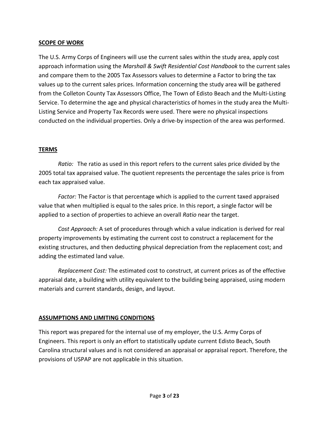#### **SCOPE OF WORK**

The U.S. Army Corps of Engineers will use the current sales within the study area, apply cost approach information using the *Marshall & Swift Residential Cost Handbook* to the current sales and compare them to the 2005 Tax Assessors values to determine a Factor to bring the tax values up to the current sales prices. Information concerning the study area will be gathered from the Colleton County Tax Assessors Office, The Town of Edisto Beach and the Multi-Listing Service. To determine the age and physical characteristics of homes in the study area the Multi-Listing Service and Property Tax Records were used. There were no physical inspections conducted on the individual properties. Only a drive-by inspection of the area was performed.

#### **TERMS**

*Ratio:* The ratio as used in this report refers to the current sales price divided by the 2005 total tax appraised value. The quotient represents the percentage the sales price is from each tax appraised value.

*Factor:* The Factor is that percentage which is applied to the current taxed appraised value that when multiplied is equal to the sales price. In this report, a single factor will be applied to a section of properties to achieve an overall *Ratio* near the target.

*Cost Approach:* A set of procedures through which a value indication is derived for real property improvements by estimating the current cost to construct a replacement for the existing structures, and then deducting physical depreciation from the replacement cost; and adding the estimated land value.

*Replacement Cost:* The estimated cost to construct, at current prices as of the effective appraisal date, a building with utility equivalent to the building being appraised, using modern materials and current standards, design, and layout.

## **ASSUMPTIONS AND LIMITING CONDITIONS**

This report was prepared for the internal use of my employer, the U.S. Army Corps of Engineers. This report is only an effort to statistically update current Edisto Beach, South Carolina structural values and is not considered an appraisal or appraisal report. Therefore, the provisions of USPAP are not applicable in this situation.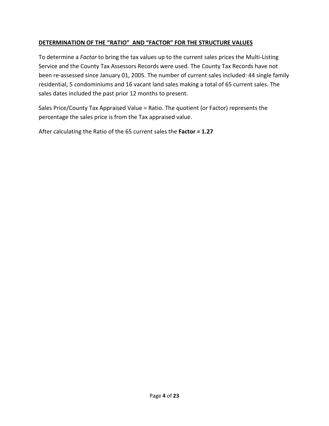## **DETERMINATION OF THE "RATIO" AND "FACTOR" FOR THE STRUCTURE VALUES**

To determine a *Factor* to bring the tax values up to the current sales prices the Multi-Listing Service and the County Tax Assessors Records were used. The County Tax Records have not been re-assessed since January 01, 2005. The number of current sales included: 44 single family residential, 5 condominiums and 16 vacant land sales making a total of 65 current sales. The sales dates included the past prior 12 months to present.

Sales Price/County Tax Appraised Value = Ratio. The quotient (or Factor) represents the percentage the sales price is from the Tax appraised value.

After calculating the Ratio of the 65 current sales the **Factor = 1.27**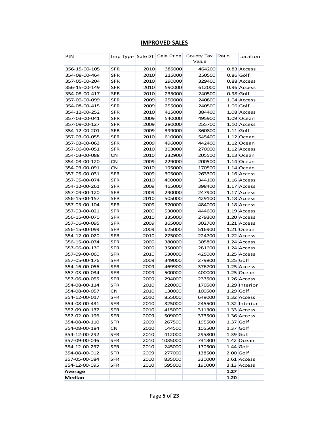# **IMPROVED SALES**

| PIN           |            |      | Imp Type   SaleDT   Sale Price | County Tax<br>Value | Ratio       | Location      |
|---------------|------------|------|--------------------------------|---------------------|-------------|---------------|
| 356-15-00-105 | <b>SFR</b> | 2010 | 385000                         | 464200              |             | 0.83 Access   |
| 354-08-00-464 | SFR        | 2010 | 215000                         | 250500              |             | 0.86 Golf     |
| 357-05-00-204 | <b>SFR</b> | 2010 | 290000                         | 329400              |             | 0.88 Access   |
| 356-15-00-149 | SFR        | 2010 | 590000                         | 612000              |             | 0.96 Access   |
| 354-08-00-417 | SFR        | 2010 | 235000                         | 240500              |             | $0.98$ Golf   |
| 357-09-00-099 | <b>SFR</b> | 2009 | 250000                         | 240800              |             | 1.04 Access   |
| 354-08-00-415 | <b>SFR</b> | 2009 | 255000                         | 240500              |             | $1.06$ Golf   |
| 354-12-00-252 | <b>SFR</b> | 2010 | 415000                         | 384400              |             | 1.08 Access   |
| 357-03-00-041 | <b>SFR</b> | 2009 | 540000                         | 495900              |             | 1.09 Ocean    |
| 357-09-00-127 | <b>SFR</b> | 2009 | 280000                         | 255700              |             | 1.10 Access   |
| 354-12-00-201 | <b>SFR</b> | 2009 | 399000                         | 360800              |             | $1.11$ Golf   |
| 357-03-00-055 | <b>SFR</b> | 2010 | 610000                         | 545400              |             | 1.12 Ocean    |
| 357-03-00-063 | SFR        | 2009 | 496000                         | 442400              |             | 1.12 Ocean    |
| 357-06-00-051 | <b>SFR</b> | 2010 | 303000                         | 270000              |             | 1.12 Access   |
| 354-03-00-088 | <b>CN</b>  | 2010 | 232900                         | 205500              |             | 1.13 Ocean    |
| 354-03-00-120 | CN         | 2009 | 229000                         | 200500              |             | 1.14 Ocean    |
| 354-03-00-091 | CN         | 2010 | 195000                         | 170500              |             | $1.14$ Ocean  |
| 357-05-00-031 | <b>SFR</b> | 2009 | 305000                         | 263300              |             | $1.16$ Access |
| 357-05-00-074 | <b>SFR</b> | 2010 | 400000                         | 344100              |             | 1.16 Access   |
| 354-12-00-261 | <b>SFR</b> | 2009 | 465000                         | 398400              |             | 1.17 Access   |
| 357-09-00-120 | <b>SFR</b> | 2009 | 290000                         | 247900              |             | 1.17 Access   |
| 356-15-00-157 | <b>SFR</b> | 2010 | 505000                         | 429100              |             | 1.18 Access   |
| 357-03-00-104 | SFR        | 2009 | 570000                         | 484000              |             | 1.18 Access   |
| 357-03-00-021 | SFR        | 2009 | 530000                         | 444600              |             | 1.19 Access   |
| 356-15-00-070 | SFR        | 2010 | 335000                         | 279300              |             | 1.20 Access   |
| 357-06-00-095 | <b>SFR</b> | 2009 | 365000                         | 302700              |             | 1.21 Access   |
| 356-15-00-099 | <b>SFR</b> | 2009 | 625000                         | 516900              |             | $1.21$ Ocean  |
| 354-12-00-020 | SFR        | 2010 | 275000                         | 224700              |             | 1.22 Access   |
| 356-15-00-074 | SFR        | 2009 | 380000                         | 305800              |             | 1.24 Access   |
| 357-06-00-130 | SFR        | 2009 | 350000                         | 281600              |             | 1.24 Access   |
| 357-09-00-060 | SFR        | 2010 | 530000                         | 425000              |             | 1.25 Access   |
| 357-05-00-176 | <b>SFR</b> | 2009 | 349000                         | 279800              |             | $1.25$ Golf   |
| 354-16-00-056 | <b>SFR</b> | 2009 | 469900                         | 376700              |             | 1.25 Access   |
| 357-03-00-034 | <b>SFR</b> | 2009 | 500000                         | 400000              |             | 1.25 Ocean    |
| 357-06-00-055 | <b>SFR</b> | 2009 | 294000                         | 233500              |             | 1.26 Access   |
| 354-08-00-114 | SFR        | 2010 | 220000                         | 170500              |             | 1.29 Interior |
| 354-08-00-057 | CN         | 2010 | 130000                         | 100500              |             | $1.29$ Golf   |
| 354-12-00-017 | SFR        | 2010 | 855000                         | 649000              |             | 1.32 Access   |
| 354-08-00-431 | <b>SFR</b> | 2010 | 325000                         | 245500              |             | 1.32 Interior |
| 357-09-00-137 | SFR        | 2010 | 415000                         | 311300              |             | 1.33 Access   |
| 357-02-00-196 |            | 2009 |                                |                     |             | 1.36 Access   |
|               | SFR        |      | 509000                         | 373500              |             |               |
| 354-08-00-110 | SFR        | 2009 | 267500                         | 195500              |             | $1.37$ Golf   |
| 354-08-00-184 | CN         | 2010 | 144500                         | 105500              |             | $1.37$ Golf   |
| 354-12-00-292 | <b>SFR</b> | 2010 | 412000                         | 295800              |             | $1.39$ Golf   |
| 357-09-00-046 | SFR        | 2010 | 1035000                        | 731300              |             | 1.42 Ocean    |
| 354-12-00-237 | <b>SFR</b> | 2010 | 245000                         | 170500              |             | $1.44$ Golf   |
| 354-08-00-012 | <b>SFR</b> | 2009 | 277000                         | 138500              | $2.00$ Golf |               |
| 357-05-00-084 | <b>SFR</b> | 2010 | 835000                         | 320000              |             | 2.61 Access   |
| 354-12-00-095 | SFR        | 2010 | 595000                         | 190000              |             | 3.13 Access   |
| Average       |            |      |                                |                     | 1.27        |               |
| Median        |            |      |                                |                     | 1.20        |               |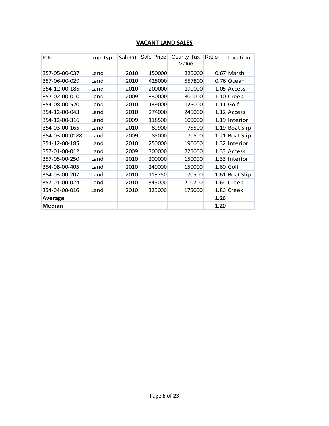# **VACANT LAND SALES**

| PIN            | Imp Type SaleDT |      | Sale Price | County Tax<br>Value | Ratio | Location       |
|----------------|-----------------|------|------------|---------------------|-------|----------------|
| 357-05-00-037  | Land            | 2010 | 150000     | 225000              |       | $0.67$ Marsh   |
| 357-06-00-029  | Land            | 2010 | 425000     | 557800              |       | 0.76 Ocean     |
| 354-12-00-185  | Land            | 2010 | 200000     | 190000              |       | 1.05 Access    |
| 357-02-00-010  | Land            | 2009 | 330000     | 300000              |       | $1.10$ Creek   |
| 354-08-00-520  | Land            | 2010 | 139000     | 125000              |       | $1.11$ Golf    |
| 354-12-00-043  | Land            | 2010 | 274000     | 245000              |       | 1.12 Access    |
| 354-12-00-316  | Land            | 2009 | 118500     | 100000              |       | 1.19 Interior  |
| 354-03-00-165  | Land            | 2010 | 89900      | 75500               |       | 1.19 Boat Slip |
| 354-03-00-0188 | Land            | 2009 | 85000      | 70500               |       | 1.21 Boat Slip |
| 354-12-00-185  | Land            | 2010 | 250000     | 190000              |       | 1.32 Interior  |
| 357-01-00-012  | Land            | 2009 | 300000     | 225000              |       | 1.33 Access    |
| 357-05-00-250  | Land            | 2010 | 200000     | 150000              |       | 1.33 Interior  |
| 354-08-00-405  | Land            | 2010 | 240000     | 150000              |       | $1.60$ Golf    |
| 354-03-00-207  | Land            | 2010 | 113750     | 70500               |       | 1.61 Boat Slip |
| 357-01-00-024  | Land            | 2010 | 345000     | 210700              |       | 1.64 Creek     |
| 354-04-00-016  | Land            | 2010 | 325000     | 175000              |       | 1.86 Creek     |
| <b>Average</b> |                 |      |            |                     | 1.26  |                |
| Median         |                 |      |            |                     | 1.20  |                |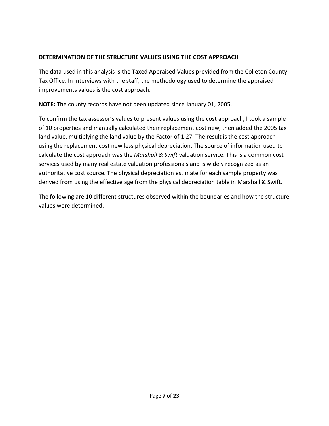#### **DETERMINATION OF THE STRUCTURE VALUES USING THE COST APPROACH**

The data used in this analysis is the Taxed Appraised Values provided from the Colleton County Tax Office. In interviews with the staff, the methodology used to determine the appraised improvements values is the cost approach.

**NOTE:** The county records have not been updated since January 01, 2005.

To confirm the tax assessor's values to present values using the cost approach, I took a sample of 10 properties and manually calculated their replacement cost new, then added the 2005 tax land value, multiplying the land value by the Factor of 1.27. The result is the cost approach using the replacement cost new less physical depreciation. The source of information used to calculate the cost approach was the *Marshall & Swift* valuation service. This is a common cost services used by many real estate valuation professionals and is widely recognized as an authoritative cost source. The physical depreciation estimate for each sample property was derived from using the effective age from the physical depreciation table in Marshall & Swift.

The following are 10 different structures observed within the boundaries and how the structure values were determined.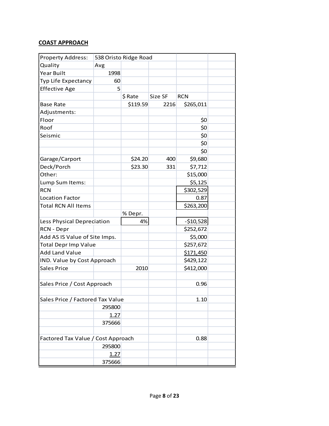| <b>Property Address:</b>           |        | 538 Oristo Ridge Road |         |            |  |
|------------------------------------|--------|-----------------------|---------|------------|--|
| Quality                            | Avg    |                       |         |            |  |
| Year Built                         | 1998   |                       |         |            |  |
| Typ Life Expectancy                | 60     |                       |         |            |  |
| <b>Effective Age</b>               | 5      |                       |         |            |  |
|                                    |        | \$ Rate               | Size SF | <b>RCN</b> |  |
| <b>Base Rate</b>                   |        | \$119.59              | 2216    | \$265,011  |  |
| Adjustments:                       |        |                       |         |            |  |
| Floor                              |        |                       |         | \$0        |  |
| Roof                               |        |                       |         | \$0        |  |
| Seismic                            |        |                       |         | \$0        |  |
|                                    |        |                       |         | \$0        |  |
|                                    |        |                       |         | \$0        |  |
| Garage/Carport                     |        | \$24.20               | 400     | \$9,680    |  |
| Deck/Porch                         |        | \$23.30               | 331     | \$7,712    |  |
| Other:                             |        |                       |         | \$15,000   |  |
| Lump Sum Items:                    |        |                       |         | \$5,125    |  |
| <b>RCN</b>                         |        |                       |         | \$302,529  |  |
| <b>Location Factor</b>             |        |                       |         | 0.87       |  |
| <b>Total RCN All Items</b>         |        |                       |         | \$263,200  |  |
|                                    |        | % Depr.               |         |            |  |
| Less Physical Depreciation         |        | 4%                    |         | $-510,528$ |  |
| RCN - Depr                         |        |                       |         | \$252,672  |  |
| Add AS IS Value of Site Imps.      |        |                       |         | \$5,000    |  |
| <b>Total Depr Imp Value</b>        |        |                       |         | \$257,672  |  |
| <b>Add Land Value</b>              |        |                       |         | \$171,450  |  |
| IND. Value by Cost Approach        |        |                       |         | \$429,122  |  |
| <b>Sales Price</b>                 |        | 2010                  |         | \$412,000  |  |
|                                    |        |                       |         |            |  |
| Sales Price / Cost Approach        |        |                       |         | 0.96       |  |
|                                    |        |                       |         |            |  |
| Sales Price / Factored Tax Value   |        |                       |         | 1.10       |  |
|                                    | 295800 |                       |         |            |  |
|                                    | 1.27   |                       |         |            |  |
|                                    | 375666 |                       |         |            |  |
|                                    |        |                       |         |            |  |
| Factored Tax Value / Cost Approach |        |                       |         | 0.88       |  |
|                                    | 295800 |                       |         |            |  |
|                                    | 1.27   |                       |         |            |  |
|                                    | 375666 |                       |         |            |  |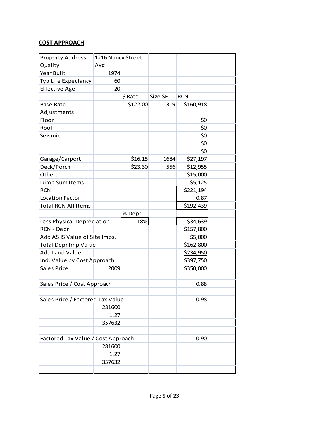| <b>Property Address:</b>           | 1216 Nancy Street |          |         |            |  |
|------------------------------------|-------------------|----------|---------|------------|--|
| Quality                            | Avg               |          |         |            |  |
| Year Built                         | 1974              |          |         |            |  |
| Typ Life Expectancy                | 60                |          |         |            |  |
| <b>Effective Age</b>               | 20                |          |         |            |  |
|                                    |                   | \$ Rate  | Size SF | <b>RCN</b> |  |
| <b>Base Rate</b>                   |                   | \$122.00 | 1319    | \$160,918  |  |
| Adjustments:                       |                   |          |         |            |  |
| Floor                              |                   |          |         | \$0        |  |
| Roof                               |                   |          |         | \$0        |  |
| Seismic                            |                   |          |         | \$0        |  |
|                                    |                   |          |         | \$0        |  |
|                                    |                   |          |         | \$0        |  |
| Garage/Carport                     |                   | \$16.15  | 1684    | \$27,197   |  |
| Deck/Porch                         |                   | \$23.30  | 556     | \$12,955   |  |
| Other:                             |                   |          |         | \$15,000   |  |
| Lump Sum Items:                    |                   |          |         | \$5,125    |  |
| <b>RCN</b>                         |                   |          |         | \$221,194  |  |
| <b>Location Factor</b>             |                   |          |         | 0.87       |  |
| <b>Total RCN All Items</b>         |                   |          |         | \$192,439  |  |
|                                    |                   | % Depr.  |         |            |  |
| Less Physical Depreciation         |                   | 18%      |         | $-534,639$ |  |
| RCN - Depr                         |                   |          |         | \$157,800  |  |
| Add AS IS Value of Site Imps.      |                   |          |         | \$5,000    |  |
| <b>Total Depr Imp Value</b>        |                   |          |         | \$162,800  |  |
| <b>Add Land Value</b>              |                   |          |         | \$234,950  |  |
| Ind. Value by Cost Approach        |                   |          |         | \$397,750  |  |
| <b>Sales Price</b>                 | 2009              |          |         | \$350,000  |  |
|                                    |                   |          |         |            |  |
| Sales Price / Cost Approach        |                   |          |         | 0.88       |  |
|                                    |                   |          |         |            |  |
| Sales Price / Factored Tax Value   |                   |          |         | 0.98       |  |
|                                    | 281600            |          |         |            |  |
|                                    | 1.27              |          |         |            |  |
|                                    | 357632            |          |         |            |  |
|                                    |                   |          |         |            |  |
| Factored Tax Value / Cost Approach |                   |          |         | 0.90       |  |
|                                    | 281600            |          |         |            |  |
|                                    | 1.27              |          |         |            |  |
|                                    | 357632            |          |         |            |  |
|                                    |                   |          |         |            |  |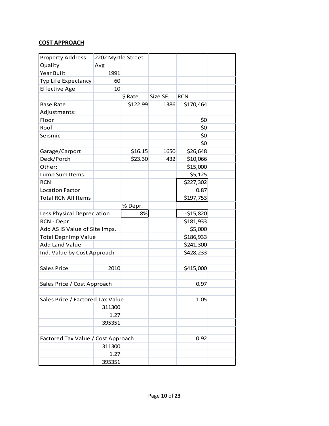| <b>Property Address:</b>           | 2202 Myrtle Street |          |         |            |  |
|------------------------------------|--------------------|----------|---------|------------|--|
| Quality                            | Avg                |          |         |            |  |
| Year Built                         | 1991               |          |         |            |  |
| Typ Life Expectancy                | 60                 |          |         |            |  |
| <b>Effective Age</b>               | 10                 |          |         |            |  |
|                                    |                    | \$ Rate  | Size SF | <b>RCN</b> |  |
| <b>Base Rate</b>                   |                    | \$122.99 | 1386    | \$170,464  |  |
| Adjustments:                       |                    |          |         |            |  |
| Floor                              |                    |          |         | \$0        |  |
| Roof                               |                    |          |         | \$0        |  |
| Seismic                            |                    |          |         | \$0        |  |
|                                    |                    |          |         | \$0        |  |
| Garage/Carport                     |                    | \$16.15  | 1650    | \$26,648   |  |
| Deck/Porch                         |                    | \$23.30  | 432     | \$10,066   |  |
| Other:                             |                    |          |         | \$15,000   |  |
| Lump Sum Items:                    |                    |          |         | \$5,125    |  |
| <b>RCN</b>                         |                    |          |         | \$227,302  |  |
| <b>Location Factor</b>             |                    |          |         | 0.87       |  |
| <b>Total RCN All Items</b>         |                    |          |         | \$197,753  |  |
|                                    |                    | % Depr.  |         |            |  |
| Less Physical Depreciation         |                    | 8%       |         | $-515,820$ |  |
| RCN - Depr                         |                    |          |         | \$181,933  |  |
| Add AS IS Value of Site Imps.      |                    |          |         | \$5,000    |  |
| <b>Total Depr Imp Value</b>        |                    |          |         | \$186,933  |  |
| <b>Add Land Value</b>              |                    |          |         | \$241,300  |  |
| Ind. Value by Cost Approach        |                    |          |         | \$428,233  |  |
|                                    |                    |          |         |            |  |
| <b>Sales Price</b>                 | 2010               |          |         | \$415,000  |  |
|                                    |                    |          |         |            |  |
| Sales Price / Cost Approach        |                    |          |         | 0.97       |  |
|                                    |                    |          |         |            |  |
| Sales Price / Factored Tax Value   |                    |          |         | 1.05       |  |
|                                    | 311300             |          |         |            |  |
|                                    | 1.27               |          |         |            |  |
|                                    | 395351             |          |         |            |  |
|                                    |                    |          |         |            |  |
| Factored Tax Value / Cost Approach |                    |          |         | 0.92       |  |
|                                    | 311300             |          |         |            |  |
|                                    | 1.27               |          |         |            |  |
|                                    | 395351             |          |         |            |  |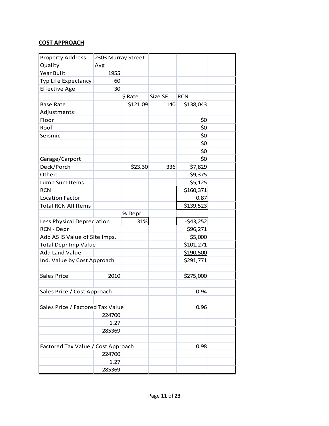| <b>Property Address:</b>           | 2303 Murray Street |          |         |            |  |
|------------------------------------|--------------------|----------|---------|------------|--|
| Quality                            | Avg                |          |         |            |  |
| Year Built                         | 1955               |          |         |            |  |
| Typ Life Expectancy                | 60                 |          |         |            |  |
| <b>Effective Age</b>               | 30                 |          |         |            |  |
|                                    |                    | \$ Rate  | Size SF | <b>RCN</b> |  |
| <b>Base Rate</b>                   |                    | \$121.09 | 1140    | \$138,043  |  |
| Adjustments:                       |                    |          |         |            |  |
| Floor                              |                    |          |         | \$0        |  |
| Roof                               |                    |          |         | \$0        |  |
| Seismic                            |                    |          |         | \$0        |  |
|                                    |                    |          |         | \$0        |  |
|                                    |                    |          |         | \$0        |  |
| Garage/Carport                     |                    |          |         | \$0        |  |
| Deck/Porch                         |                    | \$23.30  | 336     | \$7,829    |  |
| Other:                             |                    |          |         | \$9,375    |  |
| Lump Sum Items:                    |                    |          |         | \$5,125    |  |
| <b>RCN</b>                         |                    |          |         | \$160,371  |  |
| <b>Location Factor</b>             |                    |          |         | 0.87       |  |
| <b>Total RCN All Items</b>         |                    |          |         | \$139,523  |  |
|                                    |                    | % Depr.  |         |            |  |
| Less Physical Depreciation         |                    | 31%      |         | $-543,252$ |  |
| RCN - Depr                         |                    |          |         | \$96,271   |  |
| Add AS IS Value of Site Imps.      |                    |          |         | \$5,000    |  |
| <b>Total Depr Imp Value</b>        |                    |          |         | \$101,271  |  |
| <b>Add Land Value</b>              |                    |          |         | \$190,500  |  |
| Ind. Value by Cost Approach        |                    |          |         | \$291,771  |  |
|                                    |                    |          |         |            |  |
| <b>Sales Price</b>                 | 2010               |          |         | \$275,000  |  |
|                                    |                    |          |         |            |  |
| Sales Price / Cost Approach        |                    |          |         | 0.94       |  |
|                                    |                    |          |         |            |  |
| Sales Price / Factored Tax Value   |                    |          |         | 0.96       |  |
|                                    | 224700             |          |         |            |  |
|                                    | 1.27               |          |         |            |  |
|                                    | 285369             |          |         |            |  |
|                                    |                    |          |         |            |  |
| Factored Tax Value / Cost Approach |                    |          |         | 0.98       |  |
|                                    | 224700             |          |         |            |  |
|                                    | 1.27               |          |         |            |  |
|                                    | 285369             |          |         |            |  |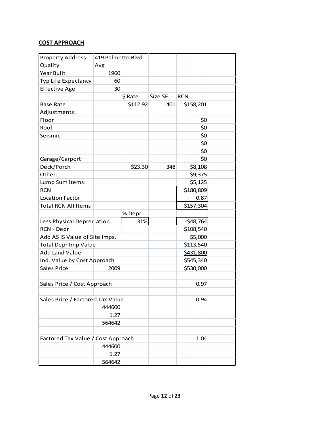| <b>Property Address:</b>           | 419 Palmetto Blvd |          |         |            |  |
|------------------------------------|-------------------|----------|---------|------------|--|
| Quality                            | Avg               |          |         |            |  |
| Year Built                         | 1960              |          |         |            |  |
| Typ Life Expectancy                | 60                |          |         |            |  |
| <b>Effective Age</b>               | 30                |          |         |            |  |
|                                    |                   | \$ Rate  | Size SF | <b>RCN</b> |  |
| <b>Base Rate</b>                   |                   | \$112.92 | 1401    | \$158,201  |  |
| Adjustments:                       |                   |          |         |            |  |
| Floor                              |                   |          |         | \$0        |  |
| Roof                               |                   |          |         | \$0        |  |
| Seismic                            |                   |          |         | \$0        |  |
|                                    |                   |          |         | \$0        |  |
|                                    |                   |          |         | \$0        |  |
| Garage/Carport                     |                   |          |         | \$0        |  |
| Deck/Porch                         |                   | \$23.30  | 348     | \$8,108    |  |
| Other:                             |                   |          |         | \$9,375    |  |
| Lump Sum Items:                    |                   |          |         | \$5,125    |  |
| <b>RCN</b>                         |                   |          |         | \$180,809  |  |
| <b>Location Factor</b>             |                   |          |         | 0.87       |  |
| <b>Total RCN All Items</b>         |                   |          |         | \$157,304  |  |
|                                    |                   | % Depr.  |         |            |  |
| Less Physical Depreciation         |                   | 31%      |         | $-548,764$ |  |
| RCN - Depr                         |                   |          |         | \$108,540  |  |
| Add AS IS Value of Site Imps.      |                   |          |         | \$5,000    |  |
| <b>Total Depr Imp Value</b>        |                   |          |         | \$113,540  |  |
| <b>Add Land Value</b>              |                   |          |         | \$431,800  |  |
| Ind. Value by Cost Approach        |                   |          |         | \$545,340  |  |
| <b>Sales Price</b>                 | 2009              |          |         | \$530,000  |  |
|                                    |                   |          |         |            |  |
| Sales Price / Cost Approach        |                   |          |         | 0.97       |  |
|                                    |                   |          |         |            |  |
| Sales Price / Factored Tax Value   |                   |          |         | 0.94       |  |
|                                    | 444600            |          |         |            |  |
|                                    | 1.27              |          |         |            |  |
|                                    | 564642            |          |         |            |  |
|                                    |                   |          |         |            |  |
| Factored Tax Value / Cost Approach |                   |          |         | 1.04       |  |
|                                    | 444600            |          |         |            |  |
|                                    | 1.27              |          |         |            |  |
|                                    | 564642            |          |         |            |  |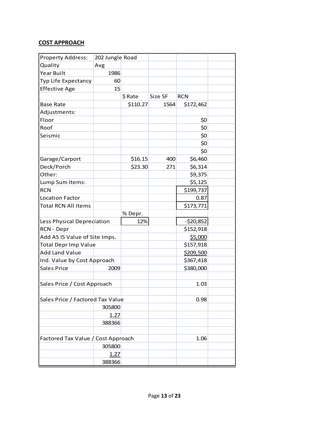| <b>Property Address:</b>           | 202 Jungle Road |          |         |            |  |
|------------------------------------|-----------------|----------|---------|------------|--|
| Quality                            | Avg             |          |         |            |  |
| Year Built                         | 1986            |          |         |            |  |
| Typ Life Expectancy                | 60              |          |         |            |  |
| <b>Effective Age</b>               | 15              |          |         |            |  |
|                                    |                 | \$ Rate  | Size SF | <b>RCN</b> |  |
| <b>Base Rate</b>                   |                 | \$110.27 | 1564    | \$172,462  |  |
| Adjustments:                       |                 |          |         |            |  |
| Floor                              |                 |          |         | \$0        |  |
| Roof                               |                 |          |         | \$0        |  |
| Seismic                            |                 |          |         | \$0        |  |
|                                    |                 |          |         | \$0        |  |
|                                    |                 |          |         | \$0        |  |
| Garage/Carport                     |                 | \$16.15  | 400     | \$6,460    |  |
| Deck/Porch                         |                 | \$23.30  | 271     | \$6,314    |  |
| Other:                             |                 |          |         | \$9,375    |  |
| Lump Sum Items:                    |                 |          |         | \$5,125    |  |
| <b>RCN</b>                         |                 |          |         | \$199,737  |  |
| <b>Location Factor</b>             |                 |          |         | 0.87       |  |
| <b>Total RCN All Items</b>         |                 |          |         | \$173,771  |  |
|                                    |                 | % Depr.  |         |            |  |
| Less Physical Depreciation         |                 | 12%      |         | $-520,852$ |  |
| RCN - Depr                         |                 |          |         | \$152,918  |  |
| Add AS IS Value of Site Imps.      |                 |          |         | \$5,000    |  |
| <b>Total Depr Imp Value</b>        |                 |          |         | \$157,918  |  |
| <b>Add Land Value</b>              |                 |          |         | \$209,500  |  |
| Ind. Value by Cost Approach        |                 |          |         | \$367,418  |  |
| <b>Sales Price</b>                 | 2009            |          |         | \$380,000  |  |
|                                    |                 |          |         |            |  |
| Sales Price / Cost Approach        |                 |          |         | 1.03       |  |
|                                    |                 |          |         |            |  |
| Sales Price / Factored Tax Value   |                 |          |         | 0.98       |  |
|                                    | 305800          |          |         |            |  |
|                                    | 1.27            |          |         |            |  |
|                                    | 388366          |          |         |            |  |
|                                    |                 |          |         |            |  |
| Factored Tax Value / Cost Approach |                 |          |         | 1.06       |  |
|                                    | 305800          |          |         |            |  |
|                                    | 1.27            |          |         |            |  |
|                                    | 388366          |          |         |            |  |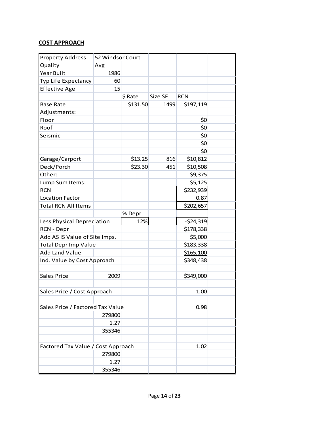| <b>Property Address:</b>           | 52 Windsor Court |          |         |            |  |
|------------------------------------|------------------|----------|---------|------------|--|
| Quality                            | Avg              |          |         |            |  |
| Year Built                         | 1986             |          |         |            |  |
| Typ Life Expectancy                | 60               |          |         |            |  |
| <b>Effective Age</b>               | 15               |          |         |            |  |
|                                    |                  | \$ Rate  | Size SF | <b>RCN</b> |  |
| <b>Base Rate</b>                   |                  | \$131.50 | 1499    | \$197,119  |  |
| Adjustments:                       |                  |          |         |            |  |
| Floor                              |                  |          |         | \$0        |  |
| Roof                               |                  |          |         | \$0        |  |
| Seismic                            |                  |          |         | \$0        |  |
|                                    |                  |          |         | \$0        |  |
|                                    |                  |          |         | \$0        |  |
| Garage/Carport                     |                  | \$13.25  | 816     | \$10,812   |  |
| Deck/Porch                         |                  | \$23.30  | 451     | \$10,508   |  |
| Other:                             |                  |          |         | \$9,375    |  |
| Lump Sum Items:                    |                  |          |         | \$5,125    |  |
| <b>RCN</b>                         |                  |          |         | \$232,939  |  |
| <b>Location Factor</b>             |                  |          |         | 0.87       |  |
| <b>Total RCN All Items</b>         |                  |          |         | \$202,657  |  |
|                                    |                  | % Depr.  |         |            |  |
| Less Physical Depreciation         |                  | 12%      |         | $-524,319$ |  |
| RCN - Depr                         |                  |          |         | \$178,338  |  |
| Add AS IS Value of Site Imps.      |                  |          |         | \$5,000    |  |
| <b>Total Depr Imp Value</b>        |                  |          |         | \$183,338  |  |
| <b>Add Land Value</b>              |                  |          |         | \$165,100  |  |
| Ind. Value by Cost Approach        |                  |          |         | \$348,438  |  |
|                                    |                  |          |         |            |  |
| <b>Sales Price</b>                 | 2009             |          |         | \$349,000  |  |
|                                    |                  |          |         |            |  |
| Sales Price / Cost Approach        |                  |          |         | 1.00       |  |
|                                    |                  |          |         |            |  |
| Sales Price / Factored Tax Value   |                  |          |         | 0.98       |  |
|                                    | 279800           |          |         |            |  |
|                                    | 1.27             |          |         |            |  |
|                                    | 355346           |          |         |            |  |
|                                    |                  |          |         |            |  |
| Factored Tax Value / Cost Approach |                  |          |         | 1.02       |  |
|                                    | 279800           |          |         |            |  |
|                                    | 1.27             |          |         |            |  |
|                                    | 355346           |          |         |            |  |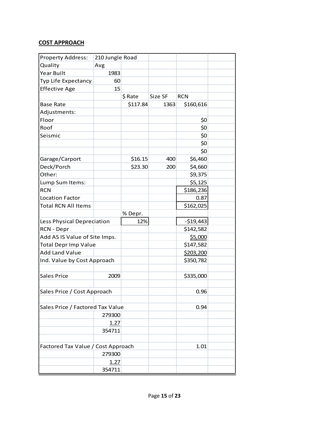| <b>Property Address:</b>           | 210 Jungle Road |          |         |            |  |
|------------------------------------|-----------------|----------|---------|------------|--|
| Quality                            | Avg             |          |         |            |  |
| <b>Year Built</b>                  | 1983            |          |         |            |  |
| Typ Life Expectancy                | 60              |          |         |            |  |
| <b>Effective Age</b>               | 15              |          |         |            |  |
|                                    |                 | \$ Rate  | Size SF | <b>RCN</b> |  |
| <b>Base Rate</b>                   |                 | \$117.84 | 1363    | \$160,616  |  |
| Adjustments:                       |                 |          |         |            |  |
| Floor                              |                 |          |         | \$0        |  |
| Roof                               |                 |          |         | \$0        |  |
| Seismic                            |                 |          |         | \$0        |  |
|                                    |                 |          |         | \$0        |  |
|                                    |                 |          |         | \$0        |  |
| Garage/Carport                     |                 | \$16.15  | 400     | \$6,460    |  |
| Deck/Porch                         |                 | \$23.30  | 200     | \$4,660    |  |
| Other:                             |                 |          |         | \$9,375    |  |
| Lump Sum Items:                    |                 |          |         | \$5,125    |  |
| <b>RCN</b>                         |                 |          |         | \$186,236  |  |
| <b>Location Factor</b>             |                 |          |         | 0.87       |  |
| <b>Total RCN All Items</b>         |                 |          |         | \$162,025  |  |
|                                    |                 | % Depr.  |         |            |  |
| Less Physical Depreciation         |                 | 12%      |         | $-$19,443$ |  |
| RCN - Depr                         |                 |          |         | \$142,582  |  |
| Add AS IS Value of Site Imps.      |                 |          |         | \$5,000    |  |
| <b>Total Depr Imp Value</b>        |                 |          |         | \$147,582  |  |
| <b>Add Land Value</b>              |                 |          |         | \$203,200  |  |
| Ind. Value by Cost Approach        |                 |          |         | \$350,782  |  |
|                                    |                 |          |         |            |  |
| <b>Sales Price</b>                 | 2009            |          |         | \$335,000  |  |
|                                    |                 |          |         |            |  |
| Sales Price / Cost Approach        |                 |          |         | 0.96       |  |
|                                    |                 |          |         |            |  |
| Sales Price / Factored Tax Value   |                 |          |         | 0.94       |  |
|                                    | 279300          |          |         |            |  |
|                                    | 1.27            |          |         |            |  |
|                                    | 354711          |          |         |            |  |
|                                    |                 |          |         |            |  |
| Factored Tax Value / Cost Approach |                 |          |         | 1.01       |  |
|                                    | 279300          |          |         |            |  |
|                                    | 1.27            |          |         |            |  |
|                                    | 354711          |          |         |            |  |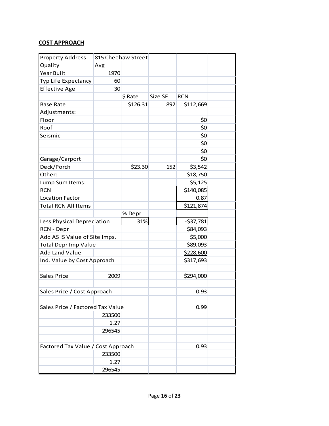| <b>Property Address:</b>           |        | 815 Cheehaw Street |         |            |  |
|------------------------------------|--------|--------------------|---------|------------|--|
| Quality                            | Avg    |                    |         |            |  |
| Year Built                         | 1970   |                    |         |            |  |
| Typ Life Expectancy                | 60     |                    |         |            |  |
| <b>Effective Age</b>               | 30     |                    |         |            |  |
|                                    |        | \$ Rate            | Size SF | <b>RCN</b> |  |
| <b>Base Rate</b>                   |        | \$126.31           | 892     | \$112,669  |  |
| Adjustments:                       |        |                    |         |            |  |
| Floor                              |        |                    |         | \$0        |  |
| Roof                               |        |                    |         | \$0        |  |
| Seismic                            |        |                    |         | \$0        |  |
|                                    |        |                    |         | \$0        |  |
|                                    |        |                    |         | \$0        |  |
| Garage/Carport                     |        |                    |         | \$0        |  |
| Deck/Porch                         |        | \$23.30            | 152     | \$3,542    |  |
| Other:                             |        |                    |         | \$18,750   |  |
| Lump Sum Items:                    |        |                    |         | \$5,125    |  |
| <b>RCN</b>                         |        |                    |         | \$140,085  |  |
| <b>Location Factor</b>             |        |                    |         | 0.87       |  |
| <b>Total RCN All Items</b>         |        |                    |         | \$121,874  |  |
|                                    |        | % Depr.            |         |            |  |
| Less Physical Depreciation         |        | 31%                |         | $-537,781$ |  |
| RCN - Depr                         |        |                    |         | \$84,093   |  |
| Add AS IS Value of Site Imps.      |        |                    |         | \$5,000    |  |
| <b>Total Depr Imp Value</b>        |        |                    |         | \$89,093   |  |
| <b>Add Land Value</b>              |        |                    |         | \$228,600  |  |
| Ind. Value by Cost Approach        |        |                    |         | \$317,693  |  |
|                                    |        |                    |         |            |  |
| <b>Sales Price</b>                 | 2009   |                    |         | \$294,000  |  |
|                                    |        |                    |         |            |  |
| Sales Price / Cost Approach        |        |                    |         | 0.93       |  |
|                                    |        |                    |         |            |  |
| Sales Price / Factored Tax Value   |        |                    |         | 0.99       |  |
|                                    | 233500 |                    |         |            |  |
|                                    | 1.27   |                    |         |            |  |
|                                    | 296545 |                    |         |            |  |
|                                    |        |                    |         |            |  |
| Factored Tax Value / Cost Approach |        |                    |         | 0.93       |  |
|                                    | 233500 |                    |         |            |  |
|                                    | 1.27   |                    |         |            |  |
|                                    | 296545 |                    |         |            |  |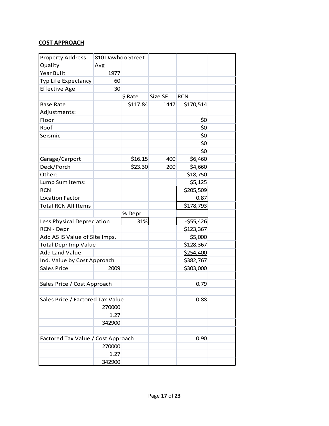| <b>Property Address:</b>           | 810 Dawhoo Street |          |         |            |  |
|------------------------------------|-------------------|----------|---------|------------|--|
| Quality                            | Avg               |          |         |            |  |
| Year Built                         | 1977              |          |         |            |  |
| Typ Life Expectancy                | 60                |          |         |            |  |
| <b>Effective Age</b>               | 30                |          |         |            |  |
|                                    |                   | \$ Rate  | Size SF | <b>RCN</b> |  |
| <b>Base Rate</b>                   |                   | \$117.84 | 1447    | \$170,514  |  |
| Adjustments:                       |                   |          |         |            |  |
| Floor                              |                   |          |         | \$0        |  |
| Roof                               |                   |          |         | \$0        |  |
| Seismic                            |                   |          |         | \$0        |  |
|                                    |                   |          |         | \$0        |  |
|                                    |                   |          |         | \$0        |  |
| Garage/Carport                     |                   | \$16.15  | 400     | \$6,460    |  |
| Deck/Porch                         |                   | \$23.30  | 200     | \$4,660    |  |
| Other:                             |                   |          |         | \$18,750   |  |
| Lump Sum Items:                    |                   |          |         | \$5,125    |  |
| <b>RCN</b>                         |                   |          |         | \$205,509  |  |
| <b>Location Factor</b>             |                   |          |         | 0.87       |  |
| <b>Total RCN All Items</b>         |                   |          |         | \$178,793  |  |
|                                    |                   | % Depr.  |         |            |  |
| Less Physical Depreciation         |                   | 31%      |         | $-555,426$ |  |
| RCN - Depr                         |                   |          |         | \$123,367  |  |
| Add AS IS Value of Site Imps.      |                   |          |         | \$5,000    |  |
| <b>Total Depr Imp Value</b>        |                   |          |         | \$128,367  |  |
| <b>Add Land Value</b>              |                   |          |         | \$254,400  |  |
| Ind. Value by Cost Approach        |                   |          |         | \$382,767  |  |
| <b>Sales Price</b>                 | 2009              |          |         | \$303,000  |  |
|                                    |                   |          |         |            |  |
| Sales Price / Cost Approach        |                   |          |         | 0.79       |  |
|                                    |                   |          |         |            |  |
| Sales Price / Factored Tax Value   |                   |          |         | 0.88       |  |
|                                    | 270000            |          |         |            |  |
|                                    | 1.27              |          |         |            |  |
|                                    | 342900            |          |         |            |  |
|                                    |                   |          |         |            |  |
| Factored Tax Value / Cost Approach |                   |          |         | 0.90       |  |
|                                    | 270000            |          |         |            |  |
|                                    | 1.27              |          |         |            |  |
|                                    | 342900            |          |         |            |  |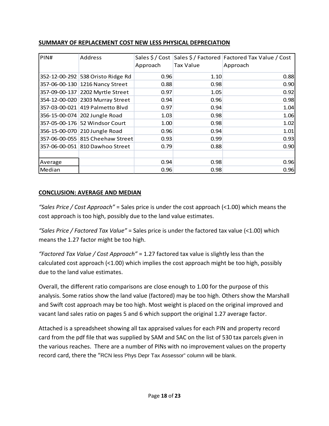| PIN#    | Address                           |          |           | Sales \$/Cost Sales \$/Factored Factored Tax Value / Cost |
|---------|-----------------------------------|----------|-----------|-----------------------------------------------------------|
|         |                                   | Approach | Tax Value | Approach                                                  |
|         | 352-12-00-292 538 Oristo Ridge Rd | 0.96     | 1.10      | 0.88                                                      |
|         | 357-06-00-130 1216 Nancy Street   | 0.88     | 0.98      | 0.90                                                      |
|         | 357-09-00-137 2202 Myrtle Street  | 0.97     | 1.05      | 0.92                                                      |
|         | 354-12-00-020 2303 Murray Street  | 0.94     | 0.96      | 0.98                                                      |
|         | 357-03-00-021 419 Palmetto Blvd   | 0.97     | 0.94      | 1.04                                                      |
|         | 356-15-00-074 202 Jungle Road     | 1.03     | 0.98      | 1.06                                                      |
|         | 357-05-00-176 52 Windsor Court    | 1.00     | 0.98      | 1.02                                                      |
|         | 356-15-00-070 210 Jungle Road     | 0.96     | 0.94      | 1.01                                                      |
|         | 357-06-00-055 815 Cheehaw Street  | 0.93     | 0.99      | 0.93                                                      |
|         | 357-06-00-051 810 Dawhoo Street   | 0.79     | 0.88      | 0.90                                                      |
|         |                                   |          |           |                                                           |
| Average |                                   | 0.94     | 0.98      | 0.96                                                      |
| Median  |                                   | 0.96     | 0.98      | 0.96                                                      |

#### **SUMMARY OF REPLACEMENT COST NEW LESS PHYSICAL DEPRECIATION**

#### **CONCLUSION: AVERAGE AND MEDIAN**

*"Sales Price / Cost Approach"* = Sales price is under the cost approach (<1.00) which means the cost approach is too high, possibly due to the land value estimates.

*"Sales Price / Factored Tax Value"* = Sales price is under the factored tax value (<1.00) which means the 1.27 factor might be too high.

*"Factored Tax Value / Cost Approach"* = 1.27 factored tax value is slightly less than the calculated cost approach (<1.00) which implies the cost approach might be too high, possibly due to the land value estimates.

Overall, the different ratio comparisons are close enough to 1.00 for the purpose of this analysis. Some ratios show the land value (factored) may be too high. Others show the Marshall and Swift cost approach may be too high. Most weight is placed on the original improved and vacant land sales ratio on pages 5 and 6 which support the original 1.27 average factor.

Attached is a spreadsheet showing all tax appraised values for each PIN and property record card from the pdf file that was supplied by SAM and SAC on the list of 530 tax parcels given in the various reaches. There are a number of PINs with no improvement values on the property record card, there the "RCN less Phys Depr Tax Assessor" column will be blank.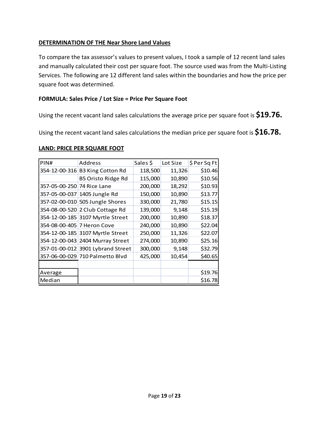#### **DETERMINATION OF THE Near Shore Land Values**

To compare the tax assessor's values to present values, I took a sample of 12 recent land sales and manually calculated their cost per square foot. The source used was from the Multi-Listing Services. The following are 12 different land sales within the boundaries and how the price per square foot was determined.

#### **FORMULA: Sales Price / Lot Size = Price Per Square Foot**

Using the recent vacant land sales calculations the average price per square foot is **\$19.76.**

Using the recent vacant land sales calculations the median price per square foot is **\$16.78.**

#### **LAND: PRICE PER SQUARE FOOT**

| PIN#                       | Address                           | Sales \$ | Lot Size | \$ Per Sq Ft |
|----------------------------|-----------------------------------|----------|----------|--------------|
|                            | 354-12-00-316 B3 King Cotton Rd   | 118,500  | 11,326   | \$10.46      |
|                            | <b>B5 Oristo Ridge Rd</b>         | 115,000  | 10,890   | \$10.56      |
| 357-05-00-250 74 Rice Lane |                                   | 200,000  | 18,292   | \$10.93      |
|                            | 357-05-00-037 1405 Jungle Rd      | 150,000  | 10,890   | \$13.77      |
|                            | 357-02-00-010 505 Jungle Shores   | 330,000  | 21,780   | \$15.15      |
|                            | 354-08-00-520 2 Club Cottage Rd   | 139,000  | 9,148    | \$15.19      |
|                            | 354-12-00-185 3107 Myrtle Street  | 200,000  | 10,890   | \$18.37      |
| 354-08-00-405 7 Heron Cove |                                   | 240,000  | 10,890   | \$22.04      |
|                            | 354-12-00-185 3107 Myrtle Street  | 250,000  | 11,326   | \$22.07      |
|                            | 354-12-00-043 2404 Murray Street  | 274,000  | 10,890   | \$25.16      |
|                            | 357-01-00-012 3901 Lybrand Street | 300,000  | 9,148    | \$32.79      |
|                            | 357-06-00-029 710 Palmetto Blvd   | 425,000  | 10,454   | \$40.65      |
|                            |                                   |          |          |              |
| Average                    |                                   |          |          | \$19.76      |
| Median                     |                                   |          |          | \$16.78      |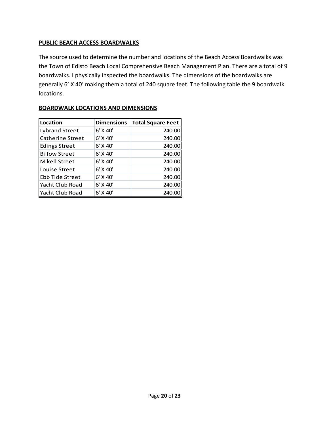#### **PUBLIC BEACH ACCESS BOARDWALKS**

The source used to determine the number and locations of the Beach Access Boardwalks was the Town of Edisto Beach Local Comprehensive Beach Management Plan. There are a total of 9 boardwalks. I physically inspected the boardwalks. The dimensions of the boardwalks are generally 6' X 40' making them a total of 240 square feet. The following table the 9 boardwalk locations.

| Location                | <b>Dimensions</b> | <b>Total Square Feet</b> |
|-------------------------|-------------------|--------------------------|
| <b>Lybrand Street</b>   | 6' X 40'          | 240.00                   |
| <b>Catherine Street</b> | 6' X 40'          | 240.00                   |
| <b>Edings Street</b>    | $6'$ X 40'        | 240.00                   |
| <b>Billow Street</b>    | 6' X 40'          | 240.00                   |
| <b>Mikell Street</b>    | 6' X 40'          | 240.00                   |
| Louise Street           | 6' X 40'          | 240.00                   |
| <b>Ebb Tide Street</b>  | 6' X 40'          | 240.00                   |
| Yacht Club Road         | 6' X 40'          | 240.00                   |
| Yacht Club Road         | 6' X 40'          | 240.0                    |

#### **BOARDWALK LOCATIONS AND DIMENSIONS**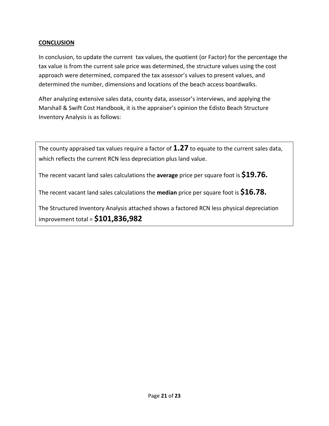#### **CONCLUSION**

In conclusion, to update the current tax values, the quotient (or Factor) for the percentage the tax value is from the current sale price was determined, the structure values using the cost approach were determined, compared the tax assessor's values to present values, and determined the number, dimensions and locations of the beach access boardwalks.

After analyzing extensive sales data, county data, assessor's interviews, and applying the Marshall & Swift Cost Handbook, it is the appraiser's opinion the Edisto Beach Structure Inventory Analysis is as follows:

The county appraised tax values require a factor of **1.27** to equate to the current sales data, which reflects the current RCN less depreciation plus land value.

The recent vacant land sales calculations the **average** price per square foot is **\$19.76.**

The recent vacant land sales calculations the **median** price per square foot is **\$16.78.**

The Structured Inventory Analysis attached shows a factored RCN less physical depreciation improvement total = **\$101,836,982**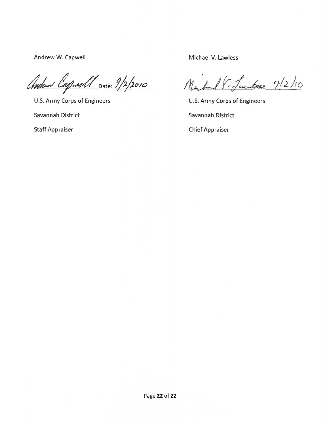Andrew W. Capwell

Andrew Capwell Date: 9/2/2010

U.S. Army Corps of Engineers

Savannah District

**Staff Appraiser** 

Michael V. Lawless

- Luchare 9/2/10  $M_{\odot}$ 

U.S. Army Corps of Engineers Savannah District **Chief Appraiser**